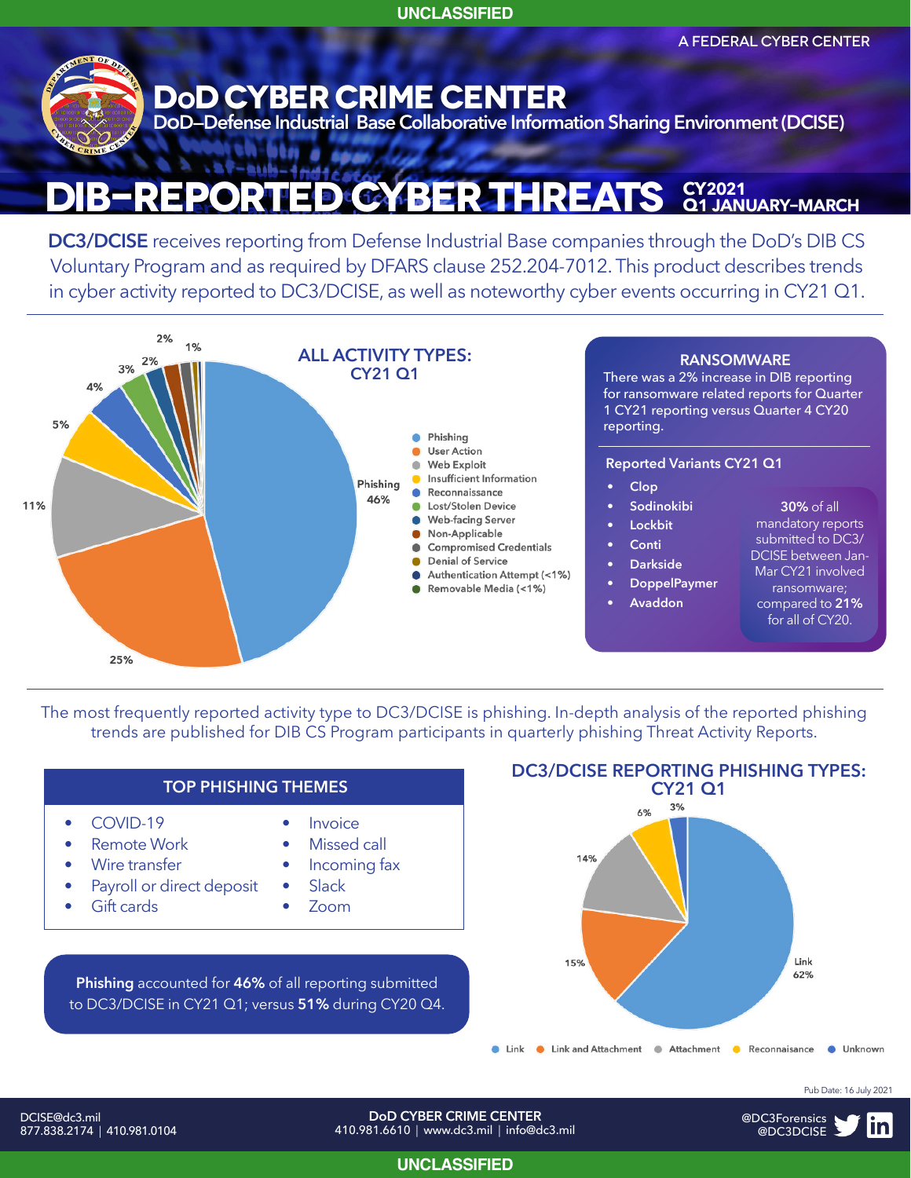**UNCLASSIFIED**

A FEDERAL CYBER CENTER



#### **DIB-Reported CYBer Threats CY2021 Q1 january–march**

**DC3/DCISE** receives reporting from Defense Industrial Base companies through the DoD's DIB CS Voluntary Program and as required by DFARS clause 252.204-7012. This product describes trends in cyber activity reported to DC3/DCISE, as well as noteworthy cyber events occurring in CY21 Q1.



The most frequently reported activity type to DC3/DCISE is phishing. In-depth analysis of the reported phishing trends are published for DIB CS Program participants in quarterly phishing Threat Activity Reports.



#### DCISE@dc3.mil 877.838.2174 | 410.981.0104

**DoD CYBER CRIME CENTER** 410.981.6610 | www.dc3.mil | info@dc3.mil Pub Date: 16 July 2021



**UNCLASSIFIED**